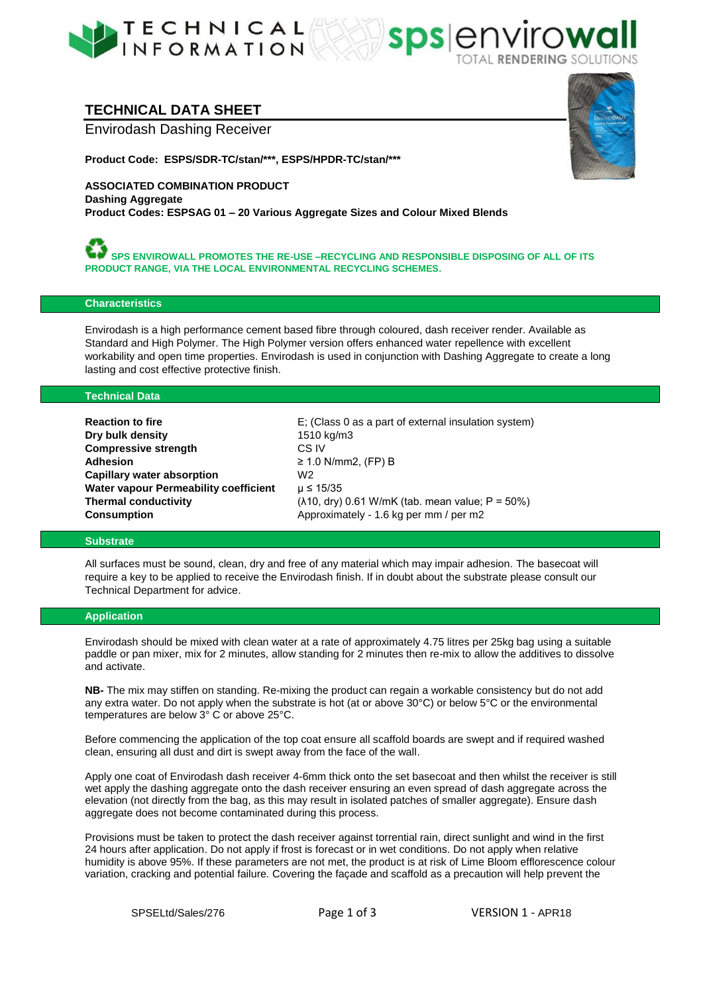



## **TECHNICAL DATA SHEET**

Envirodash Dashing Receiver

**Product Code: ESPS/SDR-TC/stan/\*\*\*, ESPS/HPDR-TC/stan/\*\*\***



**ASSOCIATED COMBINATION PRODUCT Dashing Aggregate Product Codes: ESPSAG 01 – 20 Various Aggregate Sizes and Colour Mixed Blends**

**SPS ENVIROWALL PROMOTES THE RE-USE –RECYCLING AND RESPONSIBLE DISPOSING OF ALL OF ITS PRODUCT RANGE, VIA THE LOCAL ENVIRONMENTAL RECYCLING SCHEMES.**

## **Characteristics**

Envirodash is a high performance cement based fibre through coloured, dash receiver render. Available as Standard and High Polymer. The High Polymer version offers enhanced water repellence with excellent workability and open time properties. Envirodash is used in conjunction with Dashing Aggregate to create a long lasting and cost effective protective finish.

### **Technical Data**

| <b>Reaction to fire</b>               | E: (Class 0 as a part of external insulation system)             |
|---------------------------------------|------------------------------------------------------------------|
| Dry bulk density                      | 1510 kg/m3                                                       |
| <b>Compressive strength</b>           | CS IV                                                            |
| Adhesion                              | $\geq$ 1.0 N/mm2, (FP) B                                         |
| Capillary water absorption            | W2                                                               |
| Water vapour Permeability coefficient | $\mu$ ≤ 15/35                                                    |
| <b>Thermal conductivity</b>           | $(\lambda 10, \text{ dry})$ 0.61 W/mK (tab. mean value; P = 50%) |
| <b>Consumption</b>                    | Approximately - 1.6 kg per mm / per m2                           |

## **Substrate**

All surfaces must be sound, clean, dry and free of any material which may impair adhesion. The basecoat will require a key to be applied to receive the Envirodash finish. If in doubt about the substrate please consult our Technical Department for advice.

## **Application**

Envirodash should be mixed with clean water at a rate of approximately 4.75 litres per 25kg bag using a suitable paddle or pan mixer, mix for 2 minutes, allow standing for 2 minutes then re-mix to allow the additives to dissolve and activate.

**NB-** The mix may stiffen on standing. Re-mixing the product can regain a workable consistency but do not add any extra water. Do not apply when the substrate is hot (at or above 30°C) or below 5°C or the environmental temperatures are below 3° C or above 25°C.

Before commencing the application of the top coat ensure all scaffold boards are swept and if required washed clean, ensuring all dust and dirt is swept away from the face of the wall.

Apply one coat of Envirodash dash receiver 4-6mm thick onto the set basecoat and then whilst the receiver is still wet apply the dashing aggregate onto the dash receiver ensuring an even spread of dash aggregate across the elevation (not directly from the bag, as this may result in isolated patches of smaller aggregate). Ensure dash aggregate does not become contaminated during this process.

Provisions must be taken to protect the dash receiver against torrential rain, direct sunlight and wind in the first 24 hours after application. Do not apply if frost is forecast or in wet conditions. Do not apply when relative humidity is above 95%. If these parameters are not met, the product is at risk of Lime Bloom efflorescence colour variation, cracking and potential failure. Covering the façade and scaffold as a precaution will help prevent the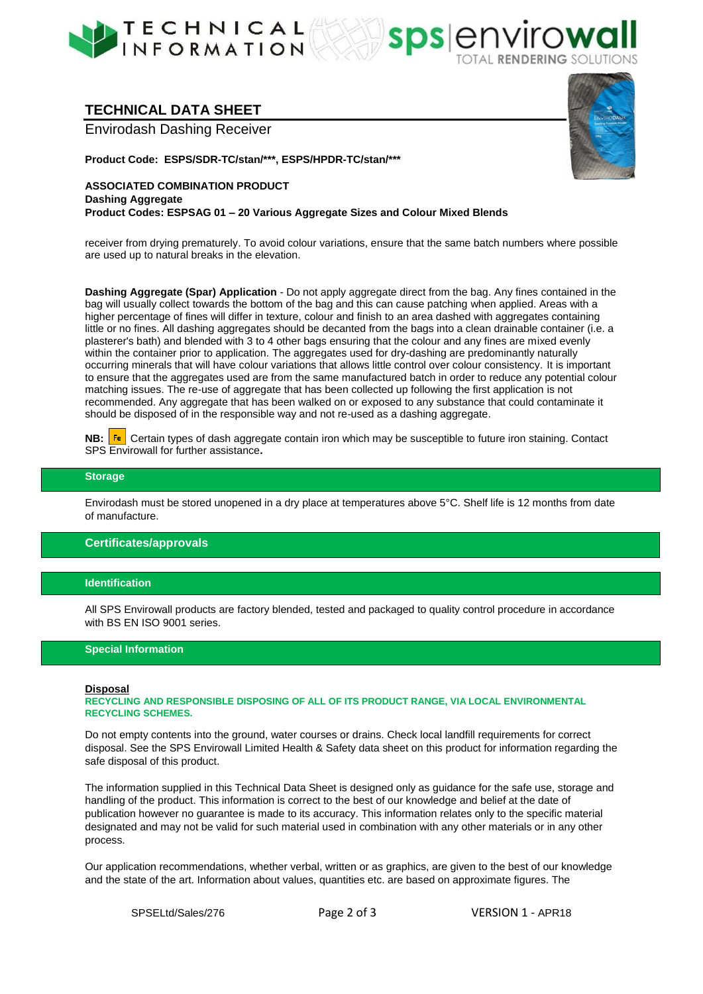





**Product Code: ESPS/SDR-TC/stan/\*\*\*, ESPS/HPDR-TC/stan/\*\*\***



**ASSOCIATED COMBINATION PRODUCT Dashing Aggregate Product Codes: ESPSAG 01 – 20 Various Aggregate Sizes and Colour Mixed Blends**

receiver from drying prematurely. To avoid colour variations, ensure that the same batch numbers where possible are used up to natural breaks in the elevation.

**sps**er

**Dashing Aggregate (Spar) Application** - Do not apply aggregate direct from the bag. Any fines contained in the bag will usually collect towards the bottom of the bag and this can cause patching when applied. Areas with a higher percentage of fines will differ in texture, colour and finish to an area dashed with aggregates containing little or no fines. All dashing aggregates should be decanted from the bags into a clean drainable container (i.e. a plasterer's bath) and blended with 3 to 4 other bags ensuring that the colour and any fines are mixed evenly within the container prior to application. The aggregates used for dry-dashing are predominantly naturally occurring minerals that will have colour variations that allows little control over colour consistency. It is important to ensure that the aggregates used are from the same manufactured batch in order to reduce any potential colour matching issues. The re-use of aggregate that has been collected up following the first application is not recommended. Any aggregate that has been walked on or exposed to any substance that could contaminate it should be disposed of in the responsible way and not re-used as a dashing aggregate.

**NB: Fe** Certain types of dash aggregate contain iron which may be susceptible to future iron staining. Contact SPS Envirowall for further assistance**.** 

## **Storage**

Envirodash must be stored unopened in a dry place at temperatures above 5°C. Shelf life is 12 months from date of manufacture.

### **Certificates/approvals**

### **Identification**

All SPS Envirowall products are factory blended, tested and packaged to quality control procedure in accordance with BS EN ISO 9001 series.

#### **Special Information**

#### **Disposal**

**RECYCLING AND RESPONSIBLE DISPOSING OF ALL OF ITS PRODUCT RANGE, VIA LOCAL ENVIRONMENTAL RECYCLING SCHEMES.**

Do not empty contents into the ground, water courses or drains. Check local landfill requirements for correct disposal. See the SPS Envirowall Limited Health & Safety data sheet on this product for information regarding the safe disposal of this product.

The information supplied in this Technical Data Sheet is designed only as guidance for the safe use, storage and handling of the product. This information is correct to the best of our knowledge and belief at the date of publication however no guarantee is made to its accuracy. This information relates only to the specific material designated and may not be valid for such material used in combination with any other materials or in any other process.

Our application recommendations, whether verbal, written or as graphics, are given to the best of our knowledge and the state of the art. Information about values, quantities etc. are based on approximate figures. The